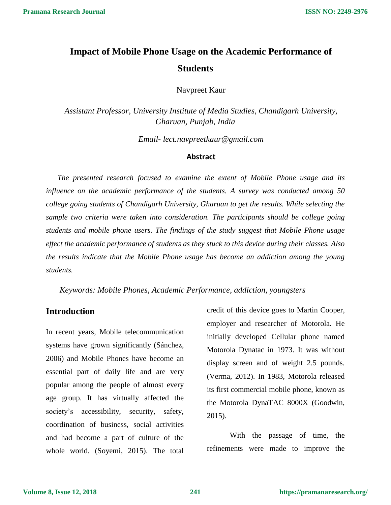# **Impact of Mobile Phone Usage on the Academic Performance of Students**

Navpreet Kaur

*Assistant Professor, University Institute of Media Studies, Chandigarh University, Gharuan, Punjab, India*

*Email- lect.navpreetkaur@gmail.com*

### **Abstract**

*The presented research focused to examine the extent of Mobile Phone usage and its influence on the academic performance of the students. A survey was conducted among 50 college going students of Chandigarh University, Gharuan to get the results. While selecting the sample two criteria were taken into consideration. The participants should be college going students and mobile phone users. The findings of the study suggest that Mobile Phone usage effect the academic performance of students as they stuck to this device during their classes. Also the results indicate that the Mobile Phone usage has become an addiction among the young students.*

*Keywords: Mobile Phones, Academic Performance, addiction, youngsters*

# **Introduction**

In recent years, Mobile telecommunication systems have grown significantly (Sánchez, 2006) and Mobile Phones have become an essential part of daily life and are very popular among the people of almost every age group. It has virtually affected the society's accessibility, security, safety, coordination of business, social activities and had become a part of culture of the whole world. (Soyemi, 2015). The total

credit of this device goes to Martin Cooper, employer and researcher of Motorola. He initially developed Cellular phone named Motorola Dynatac in 1973. It was without display screen and of weight 2.5 pounds. (Verma, 2012). In 1983, Motorola released its first commercial mobile phone, known as the Motorola DynaTAC 8000X (Goodwin, 2015).

With the passage of time, the refinements were made to improve the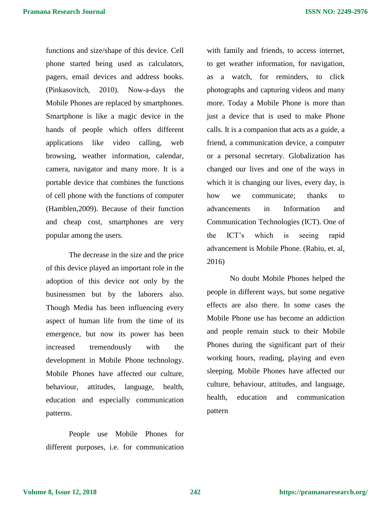functions and size/shape of this device. Cell phone started being used as calculators, pagers, email devices and address books. (Pinkasovitch, 2010). Now-a-days the Mobile Phones are replaced by smartphones. Smartphone is like a magic device in the hands of people which offers different applications like video calling, web browsing, weather information, calendar, camera, navigator and many more. It is a portable device that combines the functions of cell phone with the functions of computer (Hamblen,2009). Because of their function and cheap cost, smartphones are very popular among the users.

The decrease in the size and the price of this device played an important role in the adoption of this device not only by the businessmen but by the laborers also. Though Media has been influencing every aspect of human life from the time of its emergence, but now its power has been increased tremendously with the development in Mobile Phone technology. Mobile Phones have affected our culture, behaviour, attitudes, language, health, education and especially communication patterns.

People use Mobile Phones for different purposes, i.e. for communication

with family and friends, to access internet, to get weather information, for navigation, as a watch, for reminders, to click photographs and capturing videos and many more. Today a Mobile Phone is more than just a device that is used to make Phone calls. It is a companion that acts as a guide, a friend, a communication device, a computer or a personal secretary. Globalization has changed our lives and one of the ways in which it is changing our lives, every day, is how we communicate; thanks to advancements in Information and Communication Technologies (ICT). One of the ICT's which is seeing rapid advancement is Mobile Phone. (Rabiu, et. al, 2016)

No doubt Mobile Phones helped the people in different ways, but some negative effects are also there. In some cases the Mobile Phone use has become an addiction and people remain stuck to their Mobile Phones during the significant part of their working hours, reading, playing and even sleeping. Mobile Phones have affected our culture, behaviour, attitudes, and language, health, education and communication pattern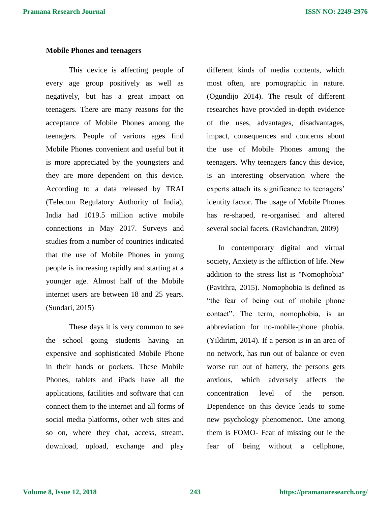### **Mobile Phones and teenagers**

This device is affecting people of every age group positively as well as negatively, but has a great impact on teenagers. There are many reasons for the acceptance of Mobile Phones among the teenagers. People of various ages find Mobile Phones convenient and useful but it is more appreciated by the youngsters and they are more dependent on this device. According to a data released by TRAI (Telecom Regulatory Authority of India), India had 1019.5 million active mobile connections in May 2017. Surveys and studies from a number of countries indicated that the use of Mobile Phones in young people is increasing rapidly and starting at a younger age. Almost half of the Mobile internet users are between 18 and 25 years. (Sundari, 2015)

These days it is very common to see the school going students having an expensive and sophisticated Mobile Phone in their hands or pockets. These Mobile Phones, tablets and iPads have all the applications, facilities and software that can connect them to the internet and all forms of social media platforms, other web sites and so on, where they chat, access, stream, download, upload, exchange and play

different kinds of media contents, which most often, are pornographic in nature. (Ogundijo 2014). The result of different researches have provided in-depth evidence of the uses, advantages, disadvantages, impact, consequences and concerns about the use of Mobile Phones among the teenagers. Why teenagers fancy this device, is an interesting observation where the experts attach its significance to teenagers' identity factor. The usage of Mobile Phones has re-shaped, re-organised and altered several social facets. (Ravichandran, 2009)

In contemporary digital and virtual society, Anxiety is the affliction of life. New addition to the stress list is "Nomophobia" (Pavithra, 2015). Nomophobia is defined as "the fear of being out of mobile phone contact". The term, nomophobia, is an abbreviation for no-mobile-phone phobia. (Yildirim, 2014). If a person is in an area of no network, has run out of balance or even worse run out of battery, the persons gets anxious, which adversely affects the concentration level of the person. Dependence on this device leads to some new psychology phenomenon. One among them is FOMO- Fear of missing out ie the fear of being without a cellphone,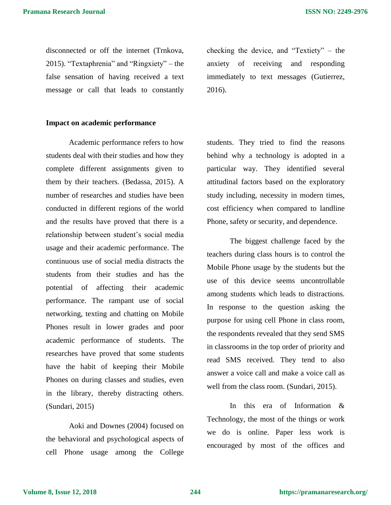disconnected or off the internet (Trnkova, 2015). "Textaphrenia" and "Ringxiety" – the false sensation of having received a text message or call that leads to constantly checking the device, and "Textiety" – the anxiety of receiving and responding immediately to text messages (Gutierrez, 2016).

### **Impact on academic performance**

Academic performance refers to how students deal with their studies and how they complete different assignments given to them by their teachers. (Bedassa, 2015). A number of researches and studies have been conducted in different regions of the world and the results have proved that there is a relationship between student's social media usage and their academic performance. The continuous use of social media distracts the students from their studies and has the potential of affecting their academic performance. The rampant use of social networking, texting and chatting on Mobile Phones result in lower grades and poor academic performance of students. The researches have proved that some students have the habit of keeping their Mobile Phones on during classes and studies, even in the library, thereby distracting others. (Sundari, 2015)

Aoki and Downes (2004) focused on the behavioral and psychological aspects of cell Phone usage among the College

students. They tried to find the reasons behind why a technology is adopted in a particular way. They identified several attitudinal factors based on the exploratory study including, necessity in modern times, cost efficiency when compared to landline Phone, safety or security, and dependence.

The biggest challenge faced by the teachers during class hours is to control the Mobile Phone usage by the students but the use of this device seems uncontrollable among students which leads to distractions. In response to the question asking the purpose for using cell Phone in class room, the respondents revealed that they send SMS in classrooms in the top order of priority and read SMS received. They tend to also answer a voice call and make a voice call as well from the class room. (Sundari, 2015).

In this era of Information & Technology, the most of the things or work we do is online. Paper less work is encouraged by most of the offices and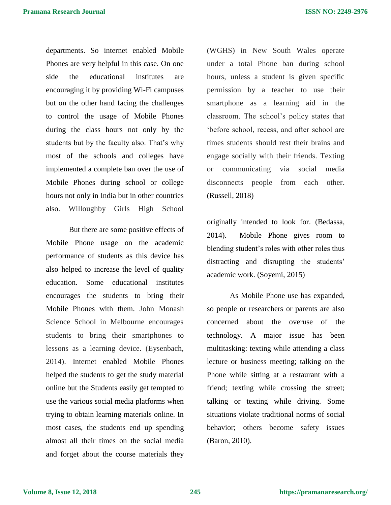departments. So internet enabled Mobile Phones are very helpful in this case. On one side the educational institutes are encouraging it by providing Wi-Fi campuses but on the other hand facing the challenges to control the usage of Mobile Phones during the class hours not only by the students but by the faculty also. That's why most of the schools and colleges have implemented a complete ban over the use of Mobile Phones during school or college hours not only in India but in other countries also. Willoughby Girls High School

But there are some positive effects of Mobile Phone usage on the academic performance of students as this device has also helped to increase the level of quality education. Some educational institutes encourages the students to bring their Mobile Phones with them. John Monash Science School in Melbourne encourages students to bring their smartphones to lessons as a learning device. (Eysenbach, 2014). Internet enabled Mobile Phones helped the students to get the study material online but the Students easily get tempted to use the various social media platforms when trying to obtain learning materials online. In most cases, the students end up spending almost all their times on the social media and forget about the course materials they

(WGHS) in New South Wales operate under a total Phone ban during school hours, unless a student is given specific permission by a teacher to use their smartphone as a learning aid in the classroom. The school's policy states that 'before school, recess, and after school are times students should rest their brains and engage socially with their friends. Texting or communicating via social media disconnects people from each other. (Russell, 2018)

originally intended to look for. (Bedassa, 2014). Mobile Phone gives room to blending student's roles with other roles thus distracting and disrupting the students' academic work. (Soyemi, 2015)

As Mobile Phone use has expanded, so people or researchers or parents are also concerned about the overuse of the technology. A major issue has been multitasking: texting while attending a class lecture or business meeting; talking on the Phone while sitting at a restaurant with a friend; texting while crossing the street; talking or texting while driving. Some situations violate traditional norms of social behavior; others become safety issues (Baron, 2010).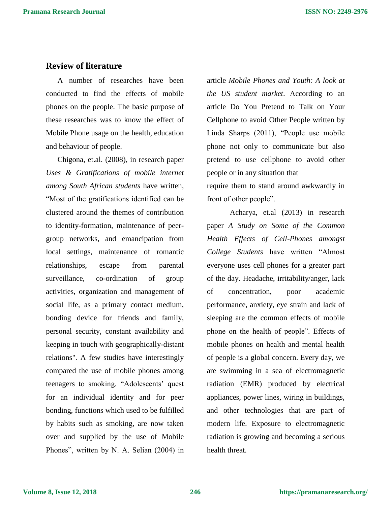# **Review of literature**

A number of researches have been conducted to find the effects of mobile phones on the people. The basic purpose of these researches was to know the effect of Mobile Phone usage on the health, education and behaviour of people.

Chigona, et.al. (2008), in research paper *Uses & Gratifications of mobile internet among South African students* have written, "Most of the gratifications identified can be clustered around the themes of contribution to identity-formation, maintenance of peergroup networks, and emancipation from local settings, maintenance of romantic relationships, escape from parental surveillance, co-ordination of group activities, organization and management of social life, as a primary contact medium, bonding device for friends and family, personal security, constant availability and keeping in touch with geographically-distant relations". A few studies have interestingly compared the use of mobile phones among teenagers to smoking. "Adolescents' quest for an individual identity and for peer bonding, functions which used to be fulfilled by habits such as smoking, are now taken over and supplied by the use of Mobile Phones", written by N. A. Selian (2004) in

article *Mobile Phones and Youth: A look at the US student market*. According to an article Do You Pretend to Talk on Your Cellphone to avoid Other People written by Linda Sharps (2011), "People use mobile phone not only to communicate but also pretend to use cellphone to avoid other people or in any situation that require them to stand around awkwardly in front of other people".

Acharya, et.al (2013) in research paper *A Study on Some of the Common Health Effects of Cell-Phones amongst College Students* have written "Almost everyone uses cell phones for a greater part of the day. Headache, irritability/anger, lack of concentration, poor academic performance, anxiety, eye strain and lack of sleeping are the common effects of mobile phone on the health of people". Effects of mobile phones on health and mental health of people is a global concern. Every day, we are swimming in a sea of electromagnetic radiation (EMR) produced by electrical appliances, power lines, wiring in buildings, and other technologies that are part of modern life. Exposure to electromagnetic radiation is growing and becoming a serious health threat.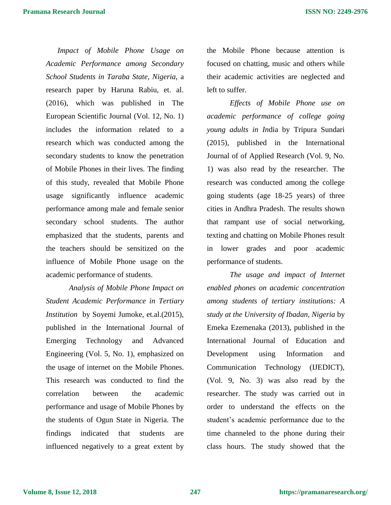*Impact of Mobile Phone Usage on Academic Performance among Secondary School Students in Taraba State, Nigeria,* a research paper by Haruna Rabiu, et. al. (2016), which was published in The European Scientific Journal (Vol. 12, No. 1) includes the information related to a research which was conducted among the secondary students to know the penetration of Mobile Phones in their lives. The finding of this study, revealed that Mobile Phone usage significantly influence academic performance among male and female senior secondary school students. The author emphasized that the students, parents and the teachers should be sensitized on the influence of Mobile Phone usage on the academic performance of students.

*Analysis of Mobile Phone Impact on Student Academic Performance in Tertiary Institution* by Soyemi Jumoke, et.al.(2015), published in the International Journal of Emerging Technology and Advanced Engineering (Vol. 5, No. 1), emphasized on the usage of internet on the Mobile Phones. This research was conducted to find the correlation between the academic performance and usage of Mobile Phones by the students of Ogun State in Nigeria. The findings indicated that students are influenced negatively to a great extent by

the Mobile Phone because attention is focused on chatting, music and others while their academic activities are neglected and left to suffer.

*Effects of Mobile Phone use on academic performance of college going young adults in In*dia by Tripura Sundari (2015), published in the International Journal of of Applied Research (Vol. 9, No. 1) was also read by the researcher. The research was conducted among the college going students (age 18-25 years) of three cities in Andhra Pradesh. The results shown that rampant use of social networking, texting and chatting on Mobile Phones result in lower grades and poor academic performance of students.

*The usage and impact of Internet enabled phones on academic concentration among students of tertiary institutions: A study at the University of Ibadan, Nigeria* by Emeka Ezemenaka (2013), published in the International Journal of Education and Development using Information and Communication Technology (IJEDICT), (Vol. 9, No. 3) was also read by the researcher. The study was carried out in order to understand the effects on the student's academic performance due to the time channeled to the phone during their class hours. The study showed that the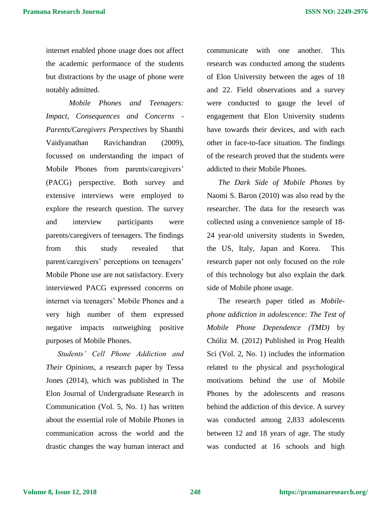internet enabled phone usage does not affect the academic performance of the students but distractions by the usage of phone were notably admitted.

*Mobile Phones and Teenagers: Impact, Consequences and Concerns - Parents/Caregivers Perspectives* by Shanthi Vaidyanathan Ravichandran (2009), focussed on understanding the impact of Mobile Phones from parents/caregivers' (PACG) perspective. Both survey and extensive interviews were employed to explore the research question. The survey and interview participants were parents/caregivers of teenagers. The findings from this study revealed that parent/caregivers' perceptions on teenagers' Mobile Phone use are not satisfactory. Every interviewed PACG expressed concerns on internet via teenagers' Mobile Phones and a very high number of them expressed negative impacts outweighing positive purposes of Mobile Phones.

*Students' Cell Phone Addiction and Their Opinions,* a research paper by Tessa Jones (2014), which was published in The Elon Journal of Undergraduate Research in Communication (Vol. 5, No. 1) has written about the essential role of Mobile Phones in communication across the world and the drastic changes the way human interact and

communicate with one another. This research was conducted among the students of Elon University between the ages of 18 and 22. Field observations and a survey were conducted to gauge the level of engagement that Elon University students have towards their devices, and with each other in face-to-face situation. The findings of the research proved that the students were addicted to their Mobile Phones.

*The Dark Side of Mobile Phones* by Naomi S. Baron (2010) was also read by the researcher. The data for the research was collected using a convenience sample of 18- 24 year-old university students in Sweden, the US, Italy, Japan and Korea. This research paper not only focused on the role of this technology but also explain the dark side of Mobile phone usage.

The research paper titled as *Mobilephone addiction in adolescence: The Test of Mobile Phone Dependence (TMD)* by Chóliz M. (2012) Published in Prog Health Sci (Vol. 2, No. 1) includes the information related to the physical and psychological motivations behind the use of Mobile Phones by the adolescents and reasons behind the addiction of this device. A survey was conducted among 2,833 adolescents between 12 and 18 years of age. The study was conducted at 16 schools and high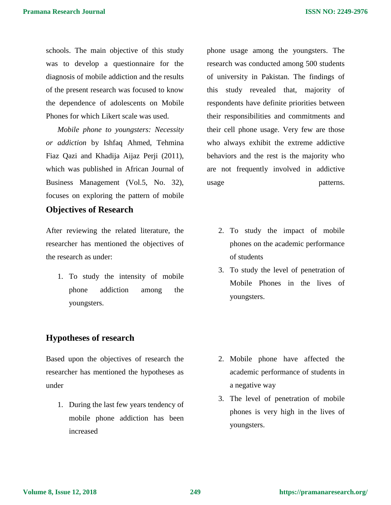schools. The main objective of this study was to develop a questionnaire for the diagnosis of mobile addiction and the results of the present research was focused to know the dependence of adolescents on Mobile Phones for which Likert scale was used.

*Mobile phone to youngsters: Necessity or addiction* by Ishfaq Ahmed, Tehmina Fiaz Qazi and Khadija Aijaz Perji (2011), which was published in African Journal of Business Management (Vol.5, No. 32), focuses on exploring the pattern of mobile

# **Objectives of Research**

After reviewing the related literature, the researcher has mentioned the objectives of the research as under:

1. To study the intensity of mobile phone addiction among the youngsters.

# **Hypotheses of research**

Based upon the objectives of research the researcher has mentioned the hypotheses as under

1. During the last few years tendency of mobile phone addiction has been increased

phone usage among the youngsters. The research was conducted among 500 students of university in Pakistan. The findings of this study revealed that, majority of respondents have definite priorities between their responsibilities and commitments and their cell phone usage. Very few are those who always exhibit the extreme addictive behaviors and the rest is the majority who are not frequently involved in addictive usage patterns.

- 2. To study the impact of mobile phones on the academic performance of students
- 3. To study the level of penetration of Mobile Phones in the lives of youngsters.

- 2. Mobile phone have affected the academic performance of students in a negative way
- 3. The level of penetration of mobile phones is very high in the lives of youngsters.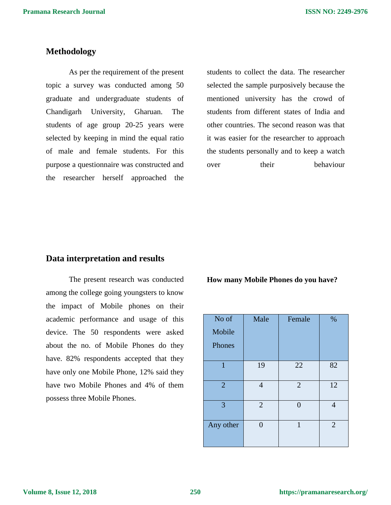## **Methodology**

As per the requirement of the present topic a survey was conducted among 50 graduate and undergraduate students of Chandigarh University, Gharuan. The students of age group 20-25 years were selected by keeping in mind the equal ratio of male and female students. For this purpose a questionnaire was constructed and the researcher herself approached the

students to collect the data. The researcher selected the sample purposively because the mentioned university has the crowd of students from different states of India and other countries. The second reason was that it was easier for the researcher to approach the students personally and to keep a watch over their behaviour

### **Data interpretation and results**

The present research was conducted among the college going youngsters to know the impact of Mobile phones on their academic performance and usage of this device. The 50 respondents were asked about the no. of Mobile Phones do they have. 82% respondents accepted that they have only one Mobile Phone, 12% said they have two Mobile Phones and 4% of them possess three Mobile Phones.

**How many Mobile Phones do you have?** 

| No of<br>Mobile<br>Phones | Male           | Female         | %              |
|---------------------------|----------------|----------------|----------------|
| 1                         | 19             | 22             | 82             |
| $\overline{2}$            | $\overline{4}$ | $\overline{2}$ | 12             |
| 3                         | $\overline{2}$ |                | 4              |
| Any other                 | 0              | 1              | $\overline{2}$ |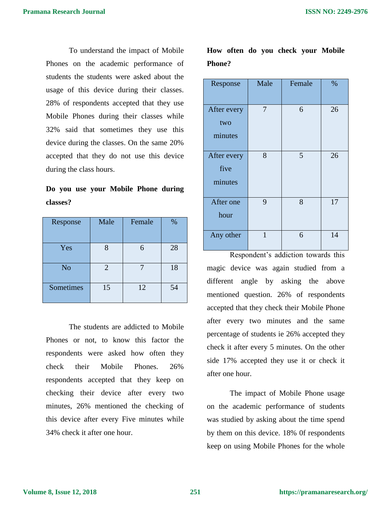To understand the impact of Mobile Phones on the academic performance of students the students were asked about the usage of this device during their classes. 28% of respondents accepted that they use Mobile Phones during their classes while 32% said that sometimes they use this device during the classes. On the same 20% accepted that they do not use this device during the class hours.

**Do you use your Mobile Phone during classes?** 

| Response       | Male           | Female | $\%$ |
|----------------|----------------|--------|------|
| Yes            |                |        | 28   |
| N <sub>o</sub> | $\overline{2}$ |        | 18   |
| Sometimes      | 15             | 12     | 54   |

The students are addicted to Mobile Phones or not, to know this factor the respondents were asked how often they check their Mobile Phones. 26% respondents accepted that they keep on checking their device after every two minutes, 26% mentioned the checking of this device after every Five minutes while 34% check it after one hour.

**How often do you check your Mobile Phone?** 

| Response                       | Male | Female | $\%$ |
|--------------------------------|------|--------|------|
| After every<br>two<br>minutes  | 7    | 6      | 26   |
| After every<br>five<br>minutes | 8    | 5      | 26   |
| After one<br>hour              | 9    | 8      | 17   |
| Any other                      | 1    | 6      | 14   |

Respondent's addiction towards this magic device was again studied from a different angle by asking the above mentioned question. 26% of respondents accepted that they check their Mobile Phone after every two minutes and the same percentage of students ie 26% accepted they check it after every 5 minutes. On the other side 17% accepted they use it or check it after one hour.

The impact of Mobile Phone usage on the academic performance of students was studied by asking about the time spend by them on this device. 18% 0f respondents keep on using Mobile Phones for the whole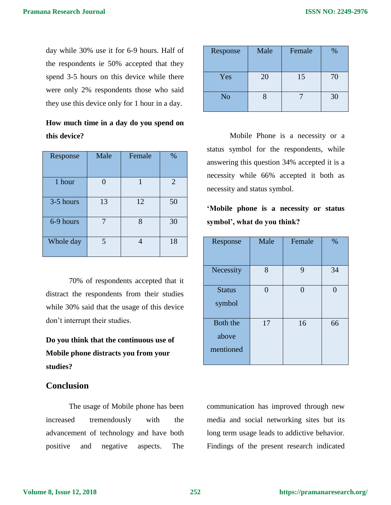day while 30% use it for 6-9 hours. Half of the respondents ie 50% accepted that they spend 3-5 hours on this device while there were only 2% respondents those who said they use this device only for 1 hour in a day.

| How much time in a day do you spend on |  |  |  |
|----------------------------------------|--|--|--|
| this device?                           |  |  |  |

| Response  | Male | Female | %              |
|-----------|------|--------|----------------|
| 1 hour    |      |        | $\overline{2}$ |
| 3-5 hours | 13   | 12     | 50             |
| 6-9 hours |      | 8      | 30             |
| Whole day | 5    |        | 18             |

70% of respondents accepted that it distract the respondents from their studies while 30% said that the usage of this device don't interrupt their studies.

**Do you think that the continuous use of Mobile phone distracts you from your studies?**

# **Conclusion**

The usage of Mobile phone has been increased tremendously with the advancement of technology and have both positive and negative aspects. The

| Response       | Male | Female | %  |
|----------------|------|--------|----|
| Yes            | 20   | 15     | 70 |
| N <sub>o</sub> |      |        | 30 |

Mobile Phone is a necessity or a status symbol for the respondents, while answering this question 34% accepted it is a necessity while 66% accepted it both as necessity and status symbol.

**'Mobile phone is a necessity or status symbol', what do you think?**

| Response                       | Male | Female | %  |
|--------------------------------|------|--------|----|
| Necessity                      | 8    | 9      | 34 |
| <b>Status</b><br>symbol        | 0    | 0      |    |
| Both the<br>above<br>mentioned | 17   | 16     | 66 |

communication has improved through new media and social networking sites but its long term usage leads to addictive behavior. Findings of the present research indicated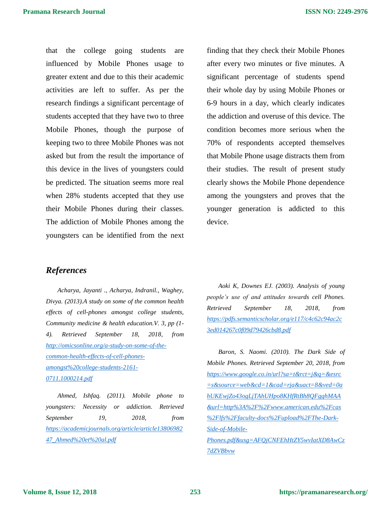that the college going students are influenced by Mobile Phones usage to greater extent and due to this their academic activities are left to suffer. As per the research findings a significant percentage of students accepted that they have two to three Mobile Phones, though the purpose of keeping two to three Mobile Phones was not asked but from the result the importance of this device in the lives of youngsters could be predicted. The situation seems more real when 28% students accepted that they use their Mobile Phones during their classes. The addiction of Mobile Phones among the youngsters can be identified from the next finding that they check their Mobile Phones after every two minutes or five minutes. A significant percentage of students spend their whole day by using Mobile Phones or 6-9 hours in a day, which clearly indicates the addiction and overuse of this device. The condition becomes more serious when the 70% of respondents accepted themselves that Mobile Phone usage distracts them from their studies. The result of present study clearly shows the Mobile Phone dependence among the youngsters and proves that the younger generation is addicted to this device.

# *References*

*Acharya, Jayanti ., Acharya, Indranil., Waghey, Divya. (2013).A study on some of the common health effects of cell-phones amongst college students, Community medicine & health education.V. 3, pp (1- 4). Retrieved September 18, 2018, from [http://omicsonline.org/a-study-on-some-of-the](http://omicsonline.org/a-study-on-some-of-the-common-health-effects-of-cell-phones-amongst%20college-students-2161-0711.1000214.pdf)[common-health-effects-of-cell-phones](http://omicsonline.org/a-study-on-some-of-the-common-health-effects-of-cell-phones-amongst%20college-students-2161-0711.1000214.pdf)[amongst%20college-students-2161-](http://omicsonline.org/a-study-on-some-of-the-common-health-effects-of-cell-phones-amongst%20college-students-2161-0711.1000214.pdf) [0711.1000214.pdf](http://omicsonline.org/a-study-on-some-of-the-common-health-effects-of-cell-phones-amongst%20college-students-2161-0711.1000214.pdf)*

*Ahmed, Ishfaq. (2011). Mobile phone to youngsters: Necessity or addiction. Retrieved September 19, 2018, from [https://academicjournals.org/article/article13806982](https://academicjournals.org/article/article1380698247_Ahmed%20et%20al.pdf) [47\\_Ahmed%20et%20al.pdf](https://academicjournals.org/article/article1380698247_Ahmed%20et%20al.pdf)*

*Aoki K, Downes EJ. (2003). Analysis of young people's use of and attitudes towards cell Phones. Retrieved September 18, 2018, from [https://pdfs.semanticscholar.org/e117/c4c62c94ac2c](https://pdfs.semanticscholar.org/e117/c4c62c94ac2c3ed014267c0f09d79426cbd8.pdf) [3ed014267c0f09d79426cbd8.pdf](https://pdfs.semanticscholar.org/e117/c4c62c94ac2c3ed014267c0f09d79426cbd8.pdf)*

*Baron, S. Naomi. (2010). The Dark Side of Mobile Phones. Retrieved September 20, 2018, from [https://www.google.co.in/url?sa=t&rct=j&q=&esrc](https://www.google.co.in/url?sa=t&rct=j&q=&esrc=s&source=web&cd=1&cad=rja&uact=8&ved=0ahUKEwjZo43ogLjTAhUHpo8KHfRtBh8QFgghMAA&url=http%3A%2F%2Fwww.american.edu%2Fcas%2Flfs%2Ffaculty-docs%2Fupload%2FThe-Dark-Side-of-Mobile-Phones.pdf&usg=AFQjCNFEhHtZY5wvIatXD8AwCz7dZVBbvw) [=s&source=web&cd=1&cad=rja&uact=8&ved=0a](https://www.google.co.in/url?sa=t&rct=j&q=&esrc=s&source=web&cd=1&cad=rja&uact=8&ved=0ahUKEwjZo43ogLjTAhUHpo8KHfRtBh8QFgghMAA&url=http%3A%2F%2Fwww.american.edu%2Fcas%2Flfs%2Ffaculty-docs%2Fupload%2FThe-Dark-Side-of-Mobile-Phones.pdf&usg=AFQjCNFEhHtZY5wvIatXD8AwCz7dZVBbvw) [hUKEwjZo43ogLjTAhUHpo8KHfRtBh8QFgghMAA](https://www.google.co.in/url?sa=t&rct=j&q=&esrc=s&source=web&cd=1&cad=rja&uact=8&ved=0ahUKEwjZo43ogLjTAhUHpo8KHfRtBh8QFgghMAA&url=http%3A%2F%2Fwww.american.edu%2Fcas%2Flfs%2Ffaculty-docs%2Fupload%2FThe-Dark-Side-of-Mobile-Phones.pdf&usg=AFQjCNFEhHtZY5wvIatXD8AwCz7dZVBbvw) [&url=http%3A%2F%2Fwww.american.edu%2Fcas](https://www.google.co.in/url?sa=t&rct=j&q=&esrc=s&source=web&cd=1&cad=rja&uact=8&ved=0ahUKEwjZo43ogLjTAhUHpo8KHfRtBh8QFgghMAA&url=http%3A%2F%2Fwww.american.edu%2Fcas%2Flfs%2Ffaculty-docs%2Fupload%2FThe-Dark-Side-of-Mobile-Phones.pdf&usg=AFQjCNFEhHtZY5wvIatXD8AwCz7dZVBbvw) [%2Flfs%2Ffaculty-docs%2Fupload%2FThe-Dark-](https://www.google.co.in/url?sa=t&rct=j&q=&esrc=s&source=web&cd=1&cad=rja&uact=8&ved=0ahUKEwjZo43ogLjTAhUHpo8KHfRtBh8QFgghMAA&url=http%3A%2F%2Fwww.american.edu%2Fcas%2Flfs%2Ffaculty-docs%2Fupload%2FThe-Dark-Side-of-Mobile-Phones.pdf&usg=AFQjCNFEhHtZY5wvIatXD8AwCz7dZVBbvw)[Side-of-Mobile-](https://www.google.co.in/url?sa=t&rct=j&q=&esrc=s&source=web&cd=1&cad=rja&uact=8&ved=0ahUKEwjZo43ogLjTAhUHpo8KHfRtBh8QFgghMAA&url=http%3A%2F%2Fwww.american.edu%2Fcas%2Flfs%2Ffaculty-docs%2Fupload%2FThe-Dark-Side-of-Mobile-Phones.pdf&usg=AFQjCNFEhHtZY5wvIatXD8AwCz7dZVBbvw)[Phones.pdf&usg=AFQjCNFEhHtZY5wvIatXD8AwCz](https://www.google.co.in/url?sa=t&rct=j&q=&esrc=s&source=web&cd=1&cad=rja&uact=8&ved=0ahUKEwjZo43ogLjTAhUHpo8KHfRtBh8QFgghMAA&url=http%3A%2F%2Fwww.american.edu%2Fcas%2Flfs%2Ffaculty-docs%2Fupload%2FThe-Dark-Side-of-Mobile-Phones.pdf&usg=AFQjCNFEhHtZY5wvIatXD8AwCz7dZVBbvw) [7dZVBbvw](https://www.google.co.in/url?sa=t&rct=j&q=&esrc=s&source=web&cd=1&cad=rja&uact=8&ved=0ahUKEwjZo43ogLjTAhUHpo8KHfRtBh8QFgghMAA&url=http%3A%2F%2Fwww.american.edu%2Fcas%2Flfs%2Ffaculty-docs%2Fupload%2FThe-Dark-Side-of-Mobile-Phones.pdf&usg=AFQjCNFEhHtZY5wvIatXD8AwCz7dZVBbvw)*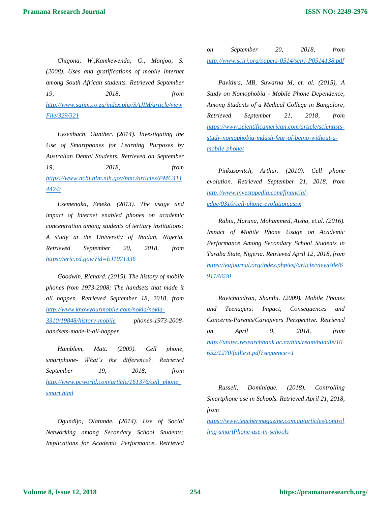*Chigona, W.,Kamkewenda, G., Manjoo, S. (2008). Uses and gratifications of mobile internet among South African students. Retrieved September 19, 2018, from [http://www.sajim.co.za/index.php/SAJIM/article/view](http://www.sajim.co.za/index.php/SAJIM/article/viewFile/329/321) [File/329/321](http://www.sajim.co.za/index.php/SAJIM/article/viewFile/329/321)*

*Eysenbach, Gunther. (2014). Investigating the Use of Smartphones for Learning Purposes by Australian Dental Students. Retrieved on September 19, 2018, from [https://www.ncbi.nlm.nih.gov/pmc/articles/PMC411](https://www.ncbi.nlm.nih.gov/pmc/articles/PMC4114424/) [4424/](https://www.ncbi.nlm.nih.gov/pmc/articles/PMC4114424/)*

*Ezemenaka, Emeka. (2013). The usage and impact of Internet enabled phones on academic concentration among students of tertiary institutions: A study at the University of Ibadan, Nigeria. Retrieved September 20, 2018, from <https://eric.ed.gov/?id=EJ1071336>*

*Goodwin, Richard. (2015). The history of mobile phones from 1973-2008; The handsets that made it all happen. Retrieved September 18, 2018, from [http://www.knowyourmobile.com/nokia/nokia-](http://www.knowyourmobile.com/nokia/nokia-3310/19848/history-mobile)[3310/19848/history-mobile](http://www.knowyourmobile.com/nokia/nokia-3310/19848/history-mobile) phones-1973-2008 handsets-made-it-all-happen*

*Hamblem, Matt. (2009). Cell phone, smartphone- What's the difference?. Retrieved September 19, 2018, from [http://www.pcworld.com/article/161376/cell\\_phone\\_](http://www.pcworld.com/article/161376/cell_phone_smart.html) [smart.html](http://www.pcworld.com/article/161376/cell_phone_smart.html)*

*Ogundijo, Olatunde. (2014). Use of Social Networking among Secondary School Students: Implications for Academic Performance. Retrieved*  *on September 20, 2018, from <http://www.scirj.org/papers-0514/scirj-P0514138.pdf>*

*Pavithra, MB, Suwarna M, et. al. (2015), A Study on Nomophobia - Mobile Phone Dependence, Among Students of a Medical College in Bangalore, Retrieved September 21, 2018, from [https://www.scientificamerican.com/article/scientists](https://www.scientificamerican.com/article/scientists-study-nomophobia-mdash-fear-of-being-without-a-mobile-phone/)[study-nomophobia-mdash-fear-of-being-without-a](https://www.scientificamerican.com/article/scientists-study-nomophobia-mdash-fear-of-being-without-a-mobile-phone/)[mobile-phone/](https://www.scientificamerican.com/article/scientists-study-nomophobia-mdash-fear-of-being-without-a-mobile-phone/)*

*Pinkasovitch, Arthur. (2010). Cell phone evolution. Retrieved September 21, 2018, from [http://www.investopedia.com/financial](http://www.investopedia.com/financial-edge/0310/cell-phone-evolution.aspx)[edge/0310/cell-phone-evolution.aspx](http://www.investopedia.com/financial-edge/0310/cell-phone-evolution.aspx)*

*Rabiu, Haruna, Mohammed, Aisha, et.al. (2016). Impact of Mobile Phone Usage on Academic Performance Among Secondary School Students in Taraba State, Nigeria. Retrieved April 12, 2018, from [https://eujournal.org/index.php/esj/article/viewFile/6](https://eujournal.org/index.php/esj/article/viewFile/6911/6630) [911/6630](https://eujournal.org/index.php/esj/article/viewFile/6911/6630)*

*Ravichandran, Shanthi. (2009). Mobile Phones and Teenagers: Impact, Consequences and Concerns-Parents/Caregivers Perspective. Retrieved on April 9, 2018, from [http://unitec.researchbank.ac.nz/bitstream/handle/10](http://unitec.researchbank.ac.nz/bitstream/handle/10652/1270/fulltext.pdf?sequence=1) [652/1270/fulltext.pdf?sequence=1](http://unitec.researchbank.ac.nz/bitstream/handle/10652/1270/fulltext.pdf?sequence=1)*

*Russell, Dominique. (2018). Controlling Smartphone use in Schools. Retrieved April 21, 2018, from* 

*[https://www.teachermagazine.com.au/articles/control](https://www.teachermagazine.com.au/articles/controlling-smartphone-use-in-schools) [ling-smartPhone-use-in-schools](https://www.teachermagazine.com.au/articles/controlling-smartphone-use-in-schools)*